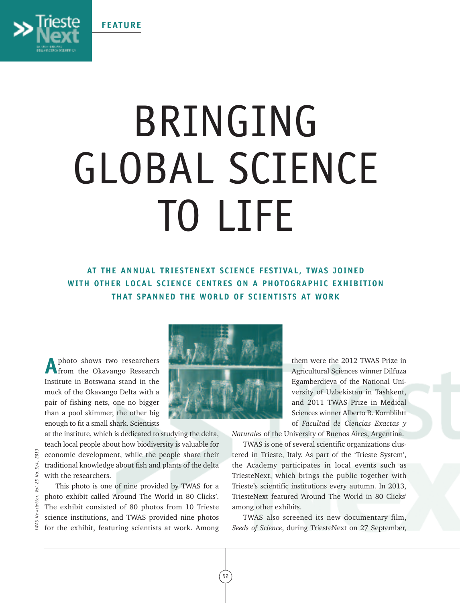**FEATURE**



## BRINGING GLOBAL SCIENCE TO LIFE

**AT THE ANNUAL TRIESTENEXT SCIENCE FEST IVAL, TWAS JOINED WITH OTHER LOCAL SCIENCE CENTRES ON A PHOTOGRAPHIC EXHIBIT ION THAT SPANNED THE WORLD OF SCIENT ISTS AT WORK**

**A**photo shows two researchers from the Okavango Research Institute in Botswana stand in the muck of the Okavango Delta with a pair of fishing nets, one no bigger than a pool skimmer, the other big enough to fit a small shark. Scientists

at the institute, which is dedicated to studying the delta, teach local people about how biodiversity is valuable for economic development, while the people share their traditional knowledge about fish and plants of the delta with the researchers.

This photo is one of nine provided by TWAS for a photo exhibit called 'Around The World in 80 Clicks'. The exhibit consisted of 80 photos from 10 Trieste science institutions, and TWAS provided nine photos for the exhibit, featuring scientists at work. Among



52

them were the 2012 TWAS Prize in Agricultural Sciences winner Dilfuza Egamberdieva of the National University of Uzbekistan in Tashkent, and 2011 TWAS Prize in Medical Sciences winner Alberto R. Kornblihtt of *Facultad de Ciencias Exactas y*

*Naturales* of the University of Buenos Aires, Argentina.

TWAS is one of several scientific organizations clustered in Trieste, Italy. As part of the 'Trieste System', the Academy participates in local events such as TriesteNext, which brings the public together with Trieste's scientific institutions every autumn. In 2013, TriesteNext featured 'Around The World in 80 Clicks' among other exhibits. **Example 10 of of Science of Science of Science of Science of Science of Science of Science of Science of Science of Science of Science of Science of Science of Sci** 

TWAS also screened its new documentary film,